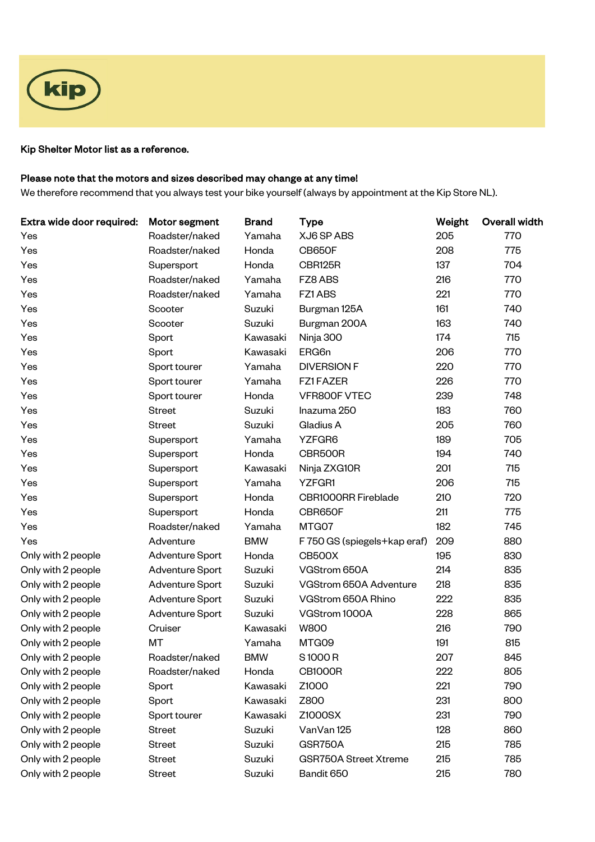

## Kip Shelter Motor list as a reference.

## Please note that the motors and sizes described may change at any time!

We therefore recommend that you always test your bike yourself (always by appointment at the Kip Store NL).

| Extra wide door required: | Motor segment   | <b>Brand</b> | <b>Type</b>                  | Weight | <b>Overall width</b> |
|---------------------------|-----------------|--------------|------------------------------|--------|----------------------|
| Yes                       | Roadster/naked  | Yamaha       | XJ6 SP ABS                   | 205    | 770                  |
| Yes                       | Roadster/naked  | Honda        | <b>CB650F</b>                | 208    | 775                  |
| Yes                       | Supersport      | Honda        | CBR125R                      | 137    | 704                  |
| Yes                       | Roadster/naked  | Yamaha       | FZ8 ABS                      | 216    | 770                  |
| Yes                       | Roadster/naked  | Yamaha       | FZ1 ABS                      | 221    | 770                  |
| Yes                       | Scooter         | Suzuki       | Burgman 125A                 | 161    | 740                  |
| Yes                       | Scooter         | Suzuki       | Burgman 200A                 | 163    | 740                  |
| Yes                       | Sport           | Kawasaki     | Ninja 300                    | 174    | 715                  |
| Yes                       | Sport           | Kawasaki     | ERG6n                        | 206    | 770                  |
| Yes                       | Sport tourer    | Yamaha       | <b>DIVERSION F</b>           | 220    | 770                  |
| Yes                       | Sport tourer    | Yamaha       | FZ1FAZER                     | 226    | 770                  |
| Yes                       | Sport tourer    | Honda        | VFR800F VTEC                 | 239    | 748                  |
| Yes                       | <b>Street</b>   | Suzuki       | Inazuma 250                  | 183    | 760                  |
| Yes                       | <b>Street</b>   | Suzuki       | Gladius A                    | 205    | 760                  |
| Yes                       | Supersport      | Yamaha       | YZFGR6                       | 189    | 705                  |
| Yes                       | Supersport      | Honda        | CBR500R                      | 194    | 740                  |
| Yes                       | Supersport      | Kawasaki     | Ninja ZXG10R                 | 201    | 715                  |
| Yes                       | Supersport      | Yamaha       | <b>YZFGR1</b>                | 206    | 715                  |
| Yes                       | Supersport      | Honda        | <b>CBR1000RR Fireblade</b>   | 210    | 720                  |
| Yes                       | Supersport      | Honda        | CBR650F                      | 211    | 775                  |
| Yes                       | Roadster/naked  | Yamaha       | MTG07                        | 182    | 745                  |
| Yes                       | Adventure       | <b>BMW</b>   | F 750 GS (spiegels+kap eraf) | 209    | 880                  |
| Only with 2 people        | Adventure Sport | Honda        | <b>CB500X</b>                | 195    | 830                  |
| Only with 2 people        | Adventure Sport | Suzuki       | VGStrom 650A                 | 214    | 835                  |
| Only with 2 people        | Adventure Sport | Suzuki       | VGStrom 650A Adventure       | 218    | 835                  |
| Only with 2 people        | Adventure Sport | Suzuki       | VGStrom 650A Rhino           | 222    | 835                  |
| Only with 2 people        | Adventure Sport | Suzuki       | VGStrom 1000A                | 228    | 865                  |
| Only with 2 people        | Cruiser         | Kawasaki     | <b>W800</b>                  | 216    | 790                  |
| Only with 2 people        | MT              | Yamaha       | MTG09                        | 191    | 815                  |
| Only with 2 people        | Roadster/naked  | <b>BMW</b>   | S1000R                       | 207    | 845                  |
| Only with 2 people        | Roadster/naked  | Honda        | <b>CB1000R</b>               | 222    | 805                  |
| Only with 2 people        | Sport           | Kawasaki     | Z1000                        | 221    | 790                  |
| Only with 2 people        | Sport           | Kawasaki     | Z800                         | 231    | 800                  |
| Only with 2 people        | Sport tourer    | Kawasaki     | Z1000SX                      | 231    | 790                  |
| Only with 2 people        | <b>Street</b>   | Suzuki       | VanVan 125                   | 128    | 860                  |
| Only with 2 people        | <b>Street</b>   | Suzuki       | GSR750A                      | 215    | 785                  |
| Only with 2 people        | <b>Street</b>   | Suzuki       | <b>GSR750A Street Xtreme</b> | 215    | 785                  |
| Only with 2 people        | <b>Street</b>   | Suzuki       | Bandit 650                   | 215    | 780                  |